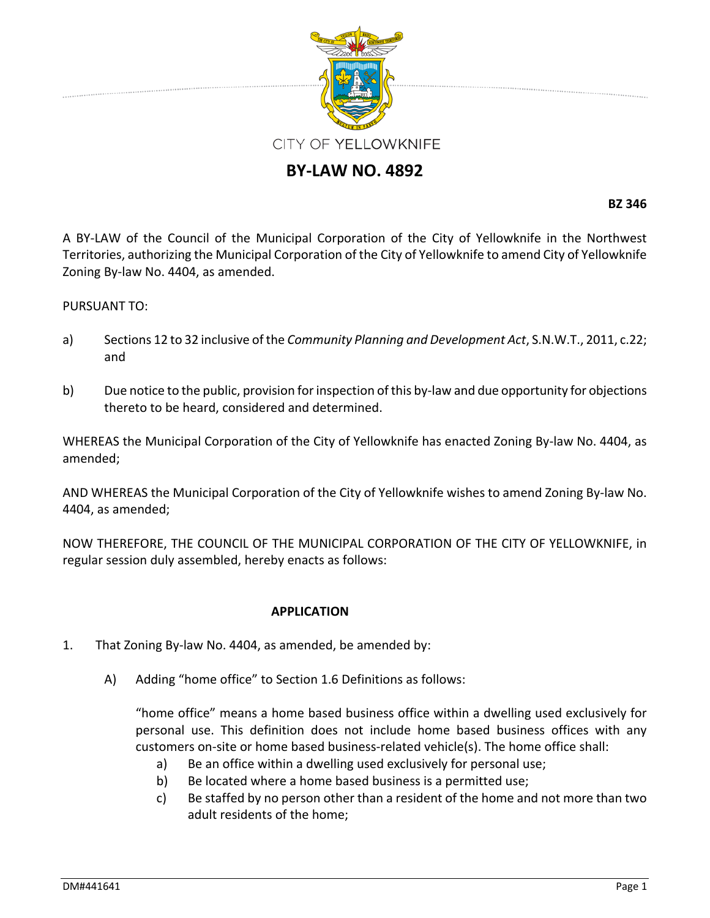

## **BY‐LAW NO. 4892**

**BZ 346**

A BY‐LAW of the Council of the Municipal Corporation of the City of Yellowknife in the Northwest Territories, authorizing the Municipal Corporation of the City of Yellowknife to amend City of Yellowknife Zoning By‐law No. 4404, as amended.

## PURSUANT TO:

- a) Sections 12 to 32 inclusive of the *Community Planning and Development Act*, S.N.W.T., 2011, c.22; and
- b) Due notice to the public, provision for inspection of this by-law and due opportunity for objections thereto to be heard, considered and determined.

WHEREAS the Municipal Corporation of the City of Yellowknife has enacted Zoning By-law No. 4404, as amended;

AND WHEREAS the Municipal Corporation of the City of Yellowknife wishes to amend Zoning By‐law No. 4404, as amended;

NOW THEREFORE, THE COUNCIL OF THE MUNICIPAL CORPORATION OF THE CITY OF YELLOWKNIFE, in regular session duly assembled, hereby enacts as follows:

## **APPLICATION**

- 1. That Zoning By‐law No. 4404, as amended, be amended by:
	- A) Adding "home office" to Section 1.6 Definitions as follows:

"home office" means a home based business office within a dwelling used exclusively for personal use. This definition does not include home based business offices with any customers on‐site or home based business‐related vehicle(s). The home office shall:

- a) Be an office within a dwelling used exclusively for personal use;
- b) Be located where a home based business is a permitted use;
- c) Be staffed by no person other than a resident of the home and not more than two adult residents of the home;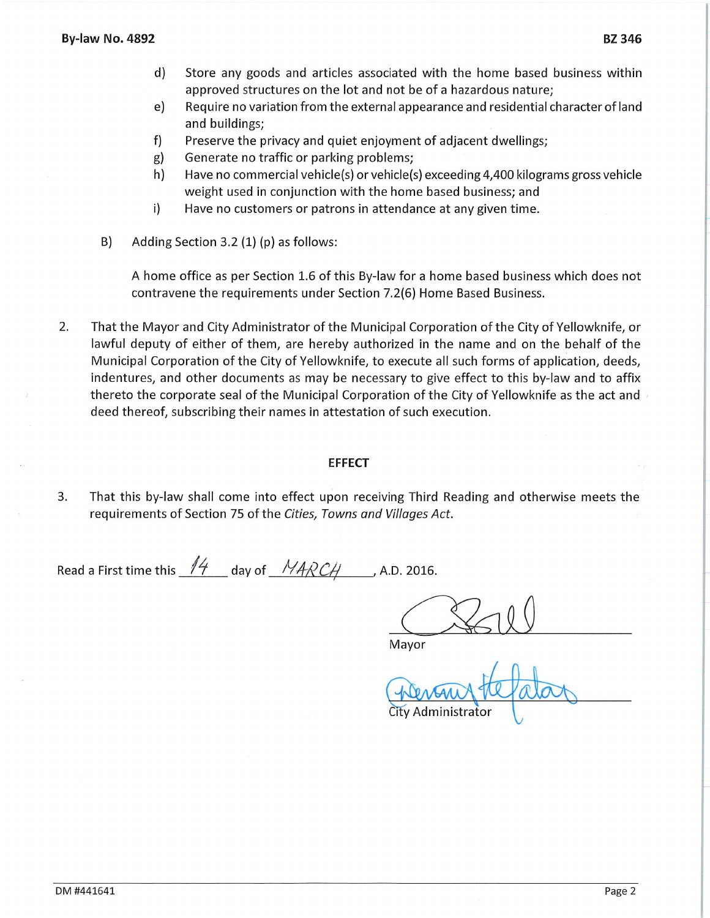- $d)$ Store any goods and articles associated with the home based business within approved structures on the lot and not be of a hazardous nature;
- Require no variation from the external appearance and residential character of land e) and buildings;
- $f$ Preserve the privacy and quiet enjoyment of adjacent dwellings;
- Generate no traffic or parking problems; g)
- h) Have no commercial vehicle(s) or vehicle(s) exceeding 4,400 kilograms gross vehicle weight used in conjunction with the home based business; and
- $i)$ Have no customers or patrons in attendance at any given time.
- B) Adding Section 3.2 (1) (p) as follows:

A home office as per Section 1.6 of this By-law for a home based business which does not contravene the requirements under Section 7.2(6) Home Based Business.

 $2.$ That the Mayor and City Administrator of the Municipal Corporation of the City of Yellowknife, or lawful deputy of either of them, are hereby authorized in the name and on the behalf of the Municipal Corporation of the City of Yellowknife, to execute all such forms of application, deeds, indentures, and other documents as may be necessary to give effect to this by-law and to affix thereto the corporate seal of the Municipal Corporation of the City of Yellowknife as the act and deed thereof, subscribing their names in attestation of such execution.

## **EFFECT**

3. That this by-law shall come into effect upon receiving Third Reading and otherwise meets the requirements of Section 75 of the Cities, Towns and Villages Act.

Read a First time this  $14$  day of  $14RCH$ , A.D. 2016.

Mayor